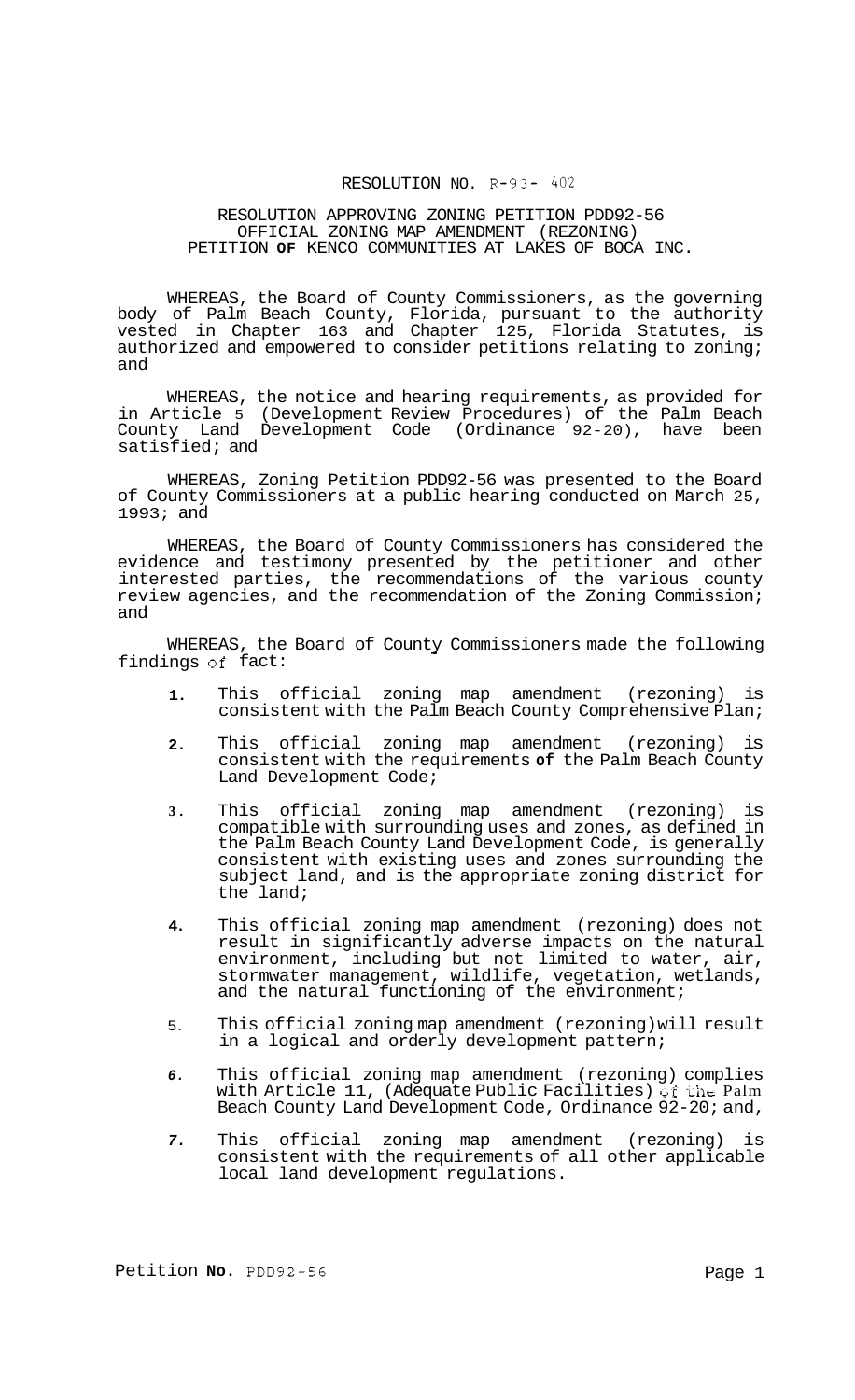## RESOLUTION NO. R-93- *402*

#### RESOLUTION APPROVING ZONING PETITION PDD92-56 PETITION **OF** KENCO COMMUNITIES AT LAKES OF BOCA INC. OFFICIAL ZONING MAP AMENDMENT (REZONING)

WHEREAS, the Board of County Commissioners, as the governing body of Palm Beach County, Florida, pursuant to the authority vested in Chapter 163 and Chapter 125, Florida Statutes, is authorized and empowered to consider petitions relating to zoning; and

WHEREAS, the notice and hearing requirements, as provided for in Article 5 (Development Review Procedures) of the Palm Beach County Land Development Code (Ordinance 92-20), have been satisfied; and

WHEREAS, Zoning Petition PDD92-56 was presented to the Board of County Commissioners at a public hearing conducted on March 25, 1993; and

WHEREAS, the Board of County Commissioners has considered the evidence and testimony presented by the petitioner and other interested parties, the recommendations of the various county review agencies, and the recommendation of the Zoning Commission; and

WHEREAS, the Board of County Commissioners made the following<br>ngs of fact: findings of fact:

- **1.**  This official zoning map amendment (rezoning) is consistent with the Palm Beach County Comprehensive Plan;
- **2.**  This official zoning map amendment (rezoning) is consistent with the requirements **of** the Palm Beach County Land Development Code;
- **3.**  This official zoning map amendment (rezoning) is compatible with surrounding uses and zones, as defined in the Palm Beach County Land Development Code, is generally consistent with existing uses and zones surrounding the subject land, and is the appropriate zoning district for the land;
- **4.**  This official zoning map amendment (rezoning) does not result in significantly adverse impacts on the natural environment, including but not limited to water, air, stormwater management, wildlife, vegetation, wetlands, and the natural functioning of the environment;
- 5. This official zoning map amendment (rezoning) will result in a logical and orderly development pattern;
- *6.*  This official zoning map amendment (rezoning) complies with Article 11, (Adequate Public Facilities) of the Palm Beach County Land Development Code, Ordinance 92-20; and,
- *7.*  This official zoning map amendment (rezoning) is consistent with the requirements of all other applicable local land development regulations.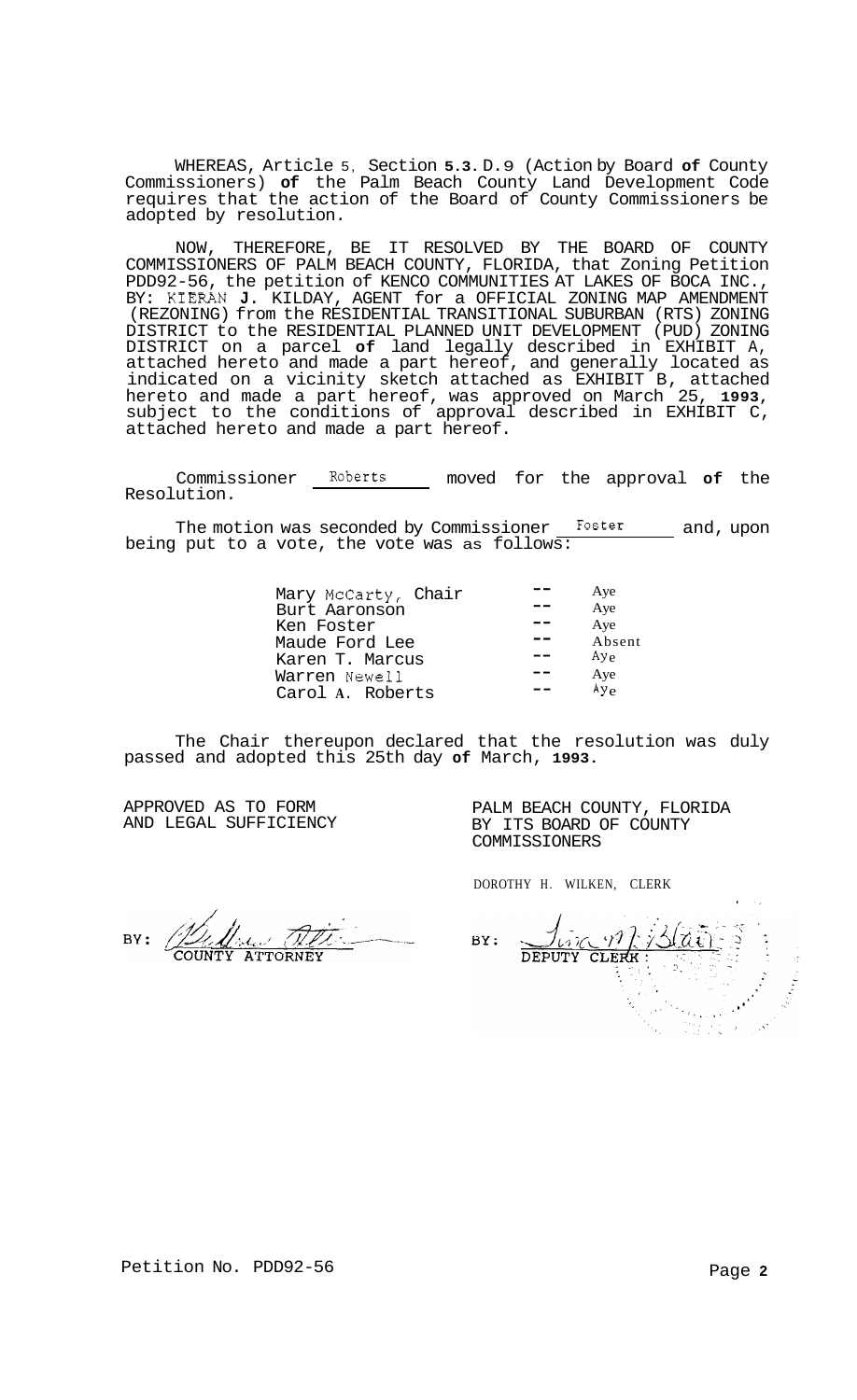WHEREAS, Article 5, Section **5.3.** D. 9 (Action by Board **of** County Commissioners) **of** the Palm Beach County Land Development Code requires that the action of the Board of County Commissioners be adopted by resolution.

NOW, THEREFORE, BE IT RESOLVED BY THE BOARD OF COUNTY COMMISSIONERS OF PALM BEACH COUNTY, FLORIDA, that Zoning Petition PDD92-56, the petition of KENCO COMMUNITIES AT LAKES OF BOCA INC., BY: KIERAN **J.** KILDAY, AGENT for a OFFICIAL ZONING MAP AMENDMENT (REZONING) from the RESIDENTIAL TRANSITIONAL SUBURBAN (RTS) ZONING DISTRICT to the RESIDENTIAL PLANNED UNIT DEVELOPMENT (PUD) ZONING DISTRICT on a parcel **of** land legally described in EXHIBIT A, attached hereto and made a part hereof, and generally located as indicated on a vicinity sketch attached as EXHIBIT B, attached hereto and made a part hereof, was approved on March 25, **1993,**  subject to the conditions of approval described in EXHIBIT C, attached hereto and made a part hereof.

Commissioner Roberts moved for the approval **of** the Resolution.

The motion was seconded by Commissioner Foster and, upon being put to a vote, the vote was as follows:

| Mary McCarty, Chair<br>Burt Aaronson<br>Ken Foster<br>Maude Ford Lee | Aye<br>Aye<br>Aye<br>Absent<br>$A y_{e}$ |
|----------------------------------------------------------------------|------------------------------------------|
| Karen T. Marcus                                                      | Aye                                      |
| Warren Newell                                                        | Ay <sub>e</sub>                          |
| Carol A. Roberts                                                     |                                          |

The Chair thereupon declared that the resolution was duly passed and adopted this 25th day **of** March, **1993.** 

APPROVED AS TO FORM AND LEGAL SUFFICIENCY PALM BEACH COUNTY, FLORIDA BY ITS BOARD OF COUNTY COMMISSIONERS

DOROTHY H. WILKEN, CLERK

BY: ALL

**I,**  DEPUTY CLERK: BY: is, cirito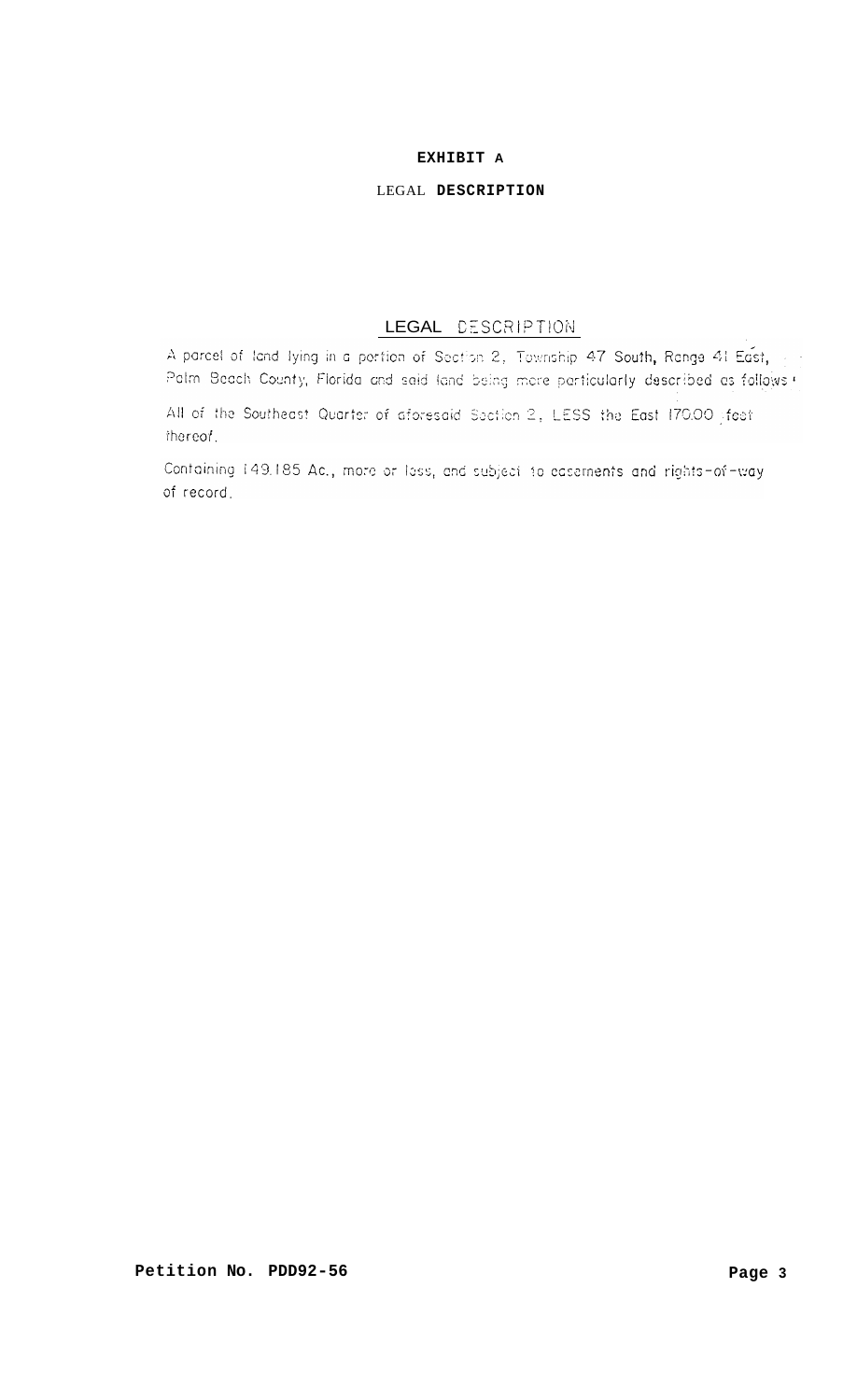# **EXHIBIT A**

### LEGAL **DESCRIPTION**

# LEGAL DESCRIPTION

A parcel of land lying in a pertion of Section 2, Township 47 South, Range 41 East,  $\epsilon \rightarrow 0$ Palm Beach County, Florida and said land being more particularly described as follows !

All of the Southeast Quarter of aforesaid Section 2, LESS the East 170.00 sfeet thereof.

Containing 149.185 Ac., more or lass, and subject to easements and rights-of-way of record.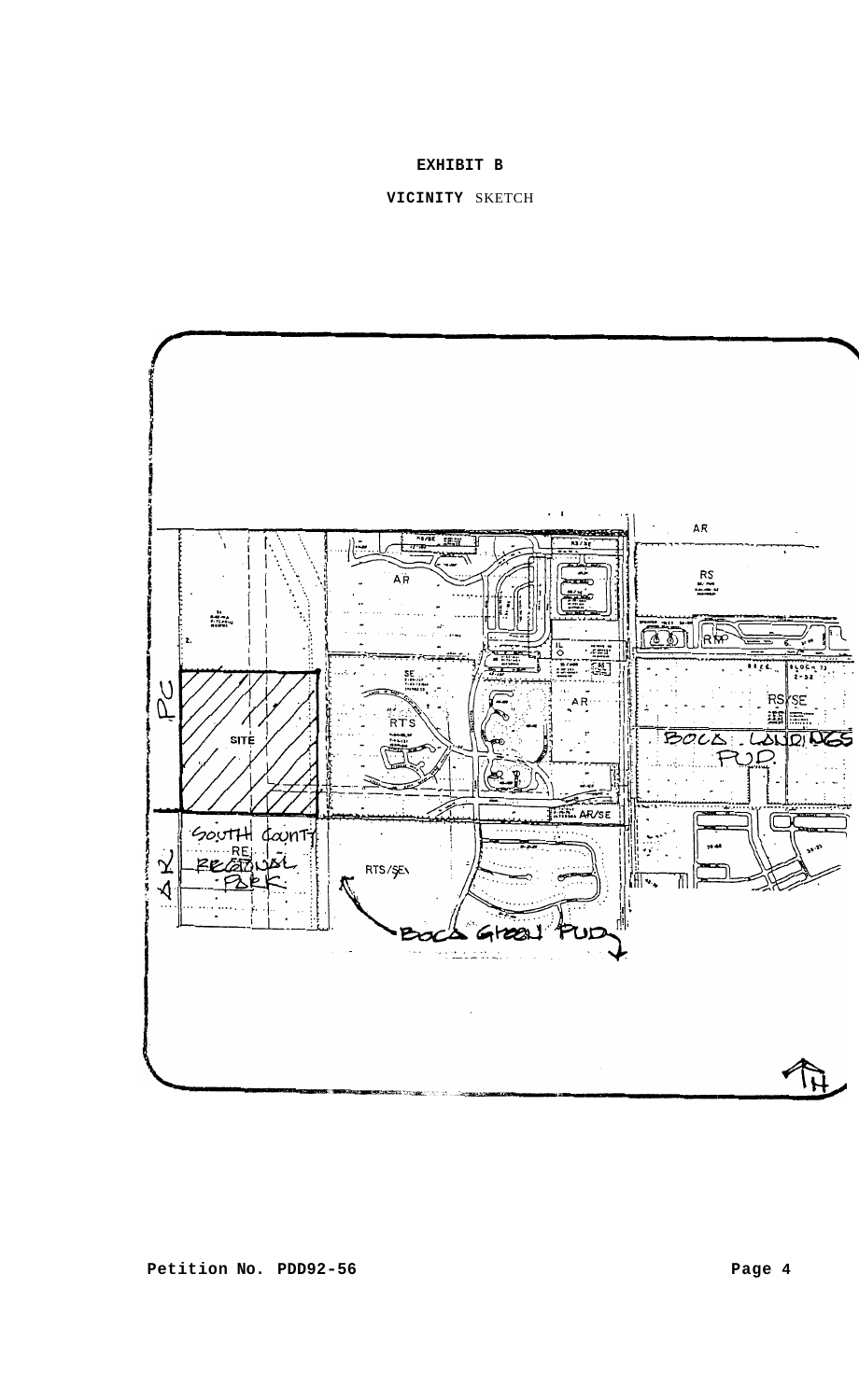# **EXHIBIT B**

## **VICINITY** SKETCH

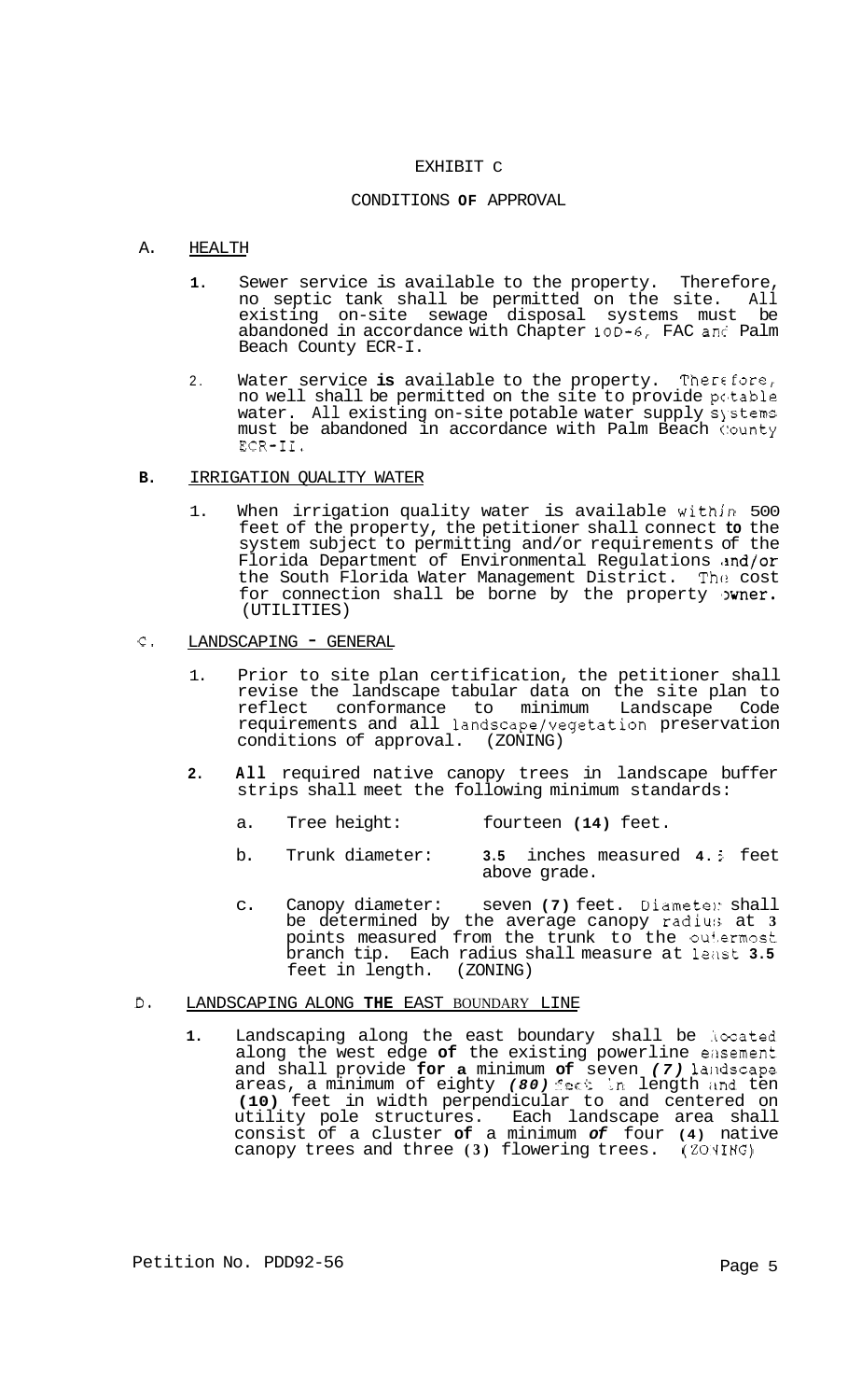#### EXHIBIT C

#### CONDITIONS **OF** APPROVAL

### A. HEALTH

- **1.** Sewer service is available to the property. Therefore, no septic tank shall be permitted on the site. All existing on-site sewage disposal systems must be abandoned in accordance with Chapter 10D-6, FAC anc Palm Beach County ECR-I.
- 2. Water service is available to the property. Therefore, no well shall be permitted on the site to provide potable water. All existing on-site potable water supply systems must be abandoned in accordance with Palm Beach (:ounty ECR-11.

### **B.** IRRIGATION QUALITY WATER

1. When irrigation quality water is available within 500 feet of the property, the petitioner shall connect **to** the system subject to permitting and/or requirements of the Florida Department of Environmental Regulations and/or<br>the South Florida Water Management District. The cost the South Florida Water Management District. for connection shall be borne by the property  $\nu$ wner. (UTILITIES)

### C. LANDSCAPING - GENERAL

- 1. Prior to site plan certification, the petitioner shall revise the landscape tabular data on the site plan to reflect conformance to minimum Landscape Code requirements and all landscape/vegetation preservation conditions of approval. (ZONING)
- **2. All** required native canopy trees in landscape buffer strips shall meet the following minimum standards:
	- a. Tree height: fourteen **(14)** feet.
	- b. Trunk diameter: **3.5** inches measured **4.** *5* feet above grade.
	- c. Canopy diameter: seven **(7)** feet. Diametel: shall be determined by the average canopy radiur; at **3**  points measured from the trunk to the out.ermost branch tip. Each radius shall measure at least 3.5 feet in length. (ZONING) feet in length.

### D. LANDSCAPING ALONG **THE** EAST BOUNDARY LINE

1. Landscaping along the east boundary shall be located along the west edge of the existing powerline easement and shall provide for a minimum of seven (7) landscape areas, a minimum of eighty (80) feet in length and ten **(10)** feet in width perpendicular to and centered on utility pole structures. Each landscape area shall consist of a cluster **of** a minimum *of* four **(4)** native canopy trees and three (3) flowering trees. (ZONING)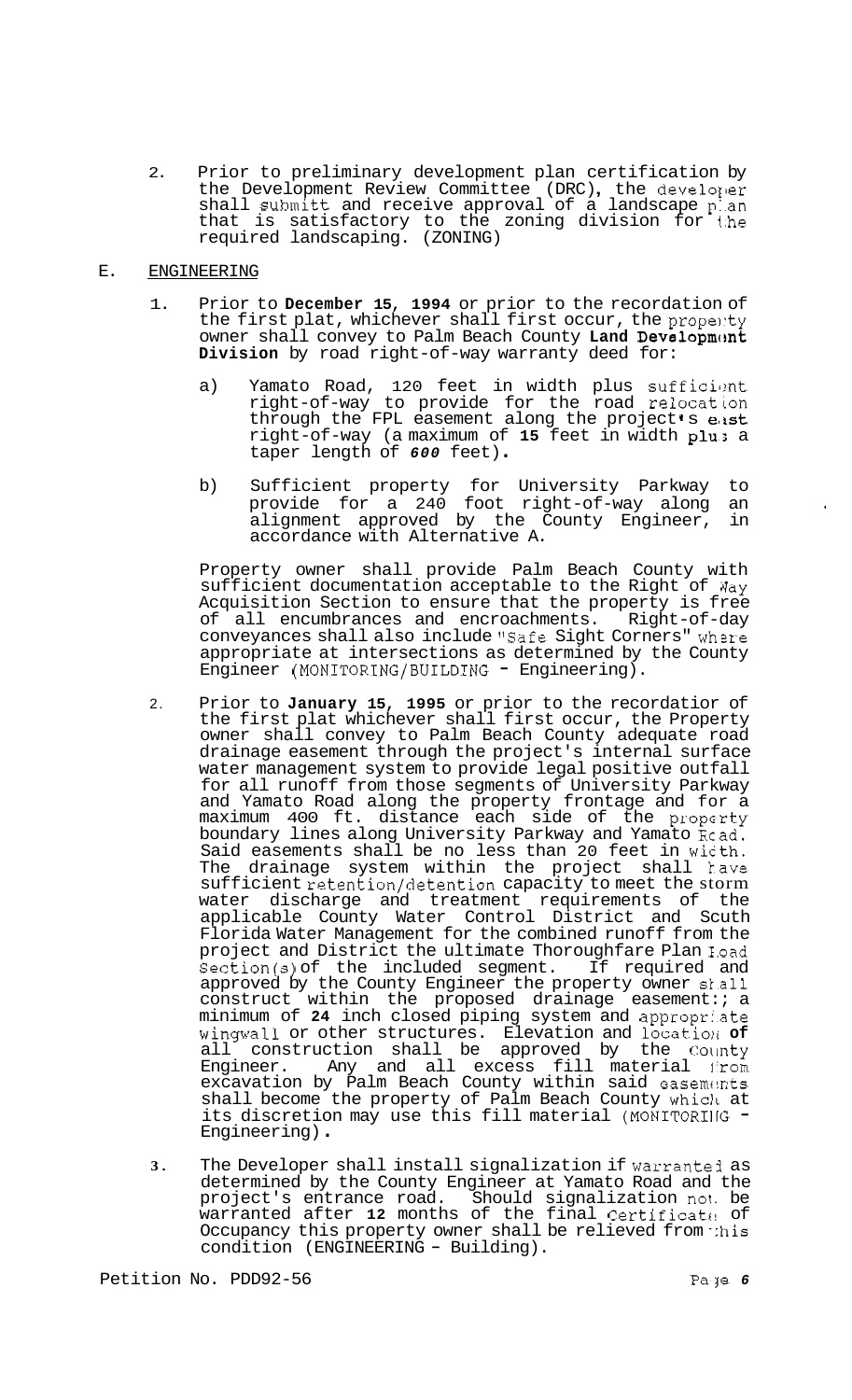2. Prior to preliminary development plan certification by Prior to preliminary development plan certification by<br>the Development Review Committee (DRC), the developer shall submitt and receive approval of a landscape p:.an that is satisfactory to the zoning division for i.he required landscaping. (ZONING)

## E. ENGINEERING

- 1. Prior to **December 15, 1994** or prior to the recordation of the first plat, whichever shall first occur, the propenty owner shall convey to Palm Beach County Land Development **Division** by road right-of-way warranty deed for:
	- a) Yamato Road, 120 feet in width plus sufficient right-of-way to provide for the road relocation through the FPL easement along the project's east right-of-way (a maximum of **15** feet in width plus a taper length of *600* feet) .
	- b) Sufficient property for University Parkway to provide for a 240 foot right-of-way along an alignment approved by the County Engineer, in accordance with Alternative A.

Property owner shall provide Palm Beach County with sufficient documentation acceptable to the Right of Way Acquisition Section to ensure that the property is free<br>of all encumbrances and encroachments. Right-of-day of all encumbrances and encroachments. conveyances shall also include "Safe Sight Corners" where appropriate at intersections as determined by the County Engineer (MONITORING/BUILDING - Engineering).

- 2. Prior to **January 15, 1995** or prior to the recordatior of the first plat whichever shall first occur, the Property owner shall convey to Palm Beach County adequate road drainage easement through the project's internal surface water management system to provide legal positive outfall for all runoff from those segments of University Parkway and Yamato Road along the property frontage and for a maximum 400 ft. distance each side of the property boundary lines along University Parkway and Yamato Rcad. Said easements shall be no less than 20 feet in wicth. The drainage system within the project shall kave sufficient retention/detention capacity to meet the storm water discharge and treatment requirements of the applicable County Water Control District and Scuth Florida Water Management for the combined runoff from the project and District the ultimate Thoroughfare Plan E.oad Section(s) of the included segment. If required and approved by the County Engineer the property owner sl.all construct within the proposed drainage easement:; a minimum of **24** inch closed piping system and appropri.ate wingwall or other structures. Elevation and locatio11 **of**  all construction shall be approved by the Colinty Engineer. Any and all excess fill material j'rom excavation by Palm Beach County within said easements shall become the property of Palm Beach County Which at<br>its discretion may use this fill material (MONITORING -Engineering) .
- **3.** The Developer shall install signalization if warrantej as determined by the County Engineer at Yamato Road and the project's entrance road. Should signalization not. be warranted after 12 months of the final Certificate of Occupancy this property owner shall be relieved from :his<br>condition (ENGINEERING - Building).

 $\bullet$